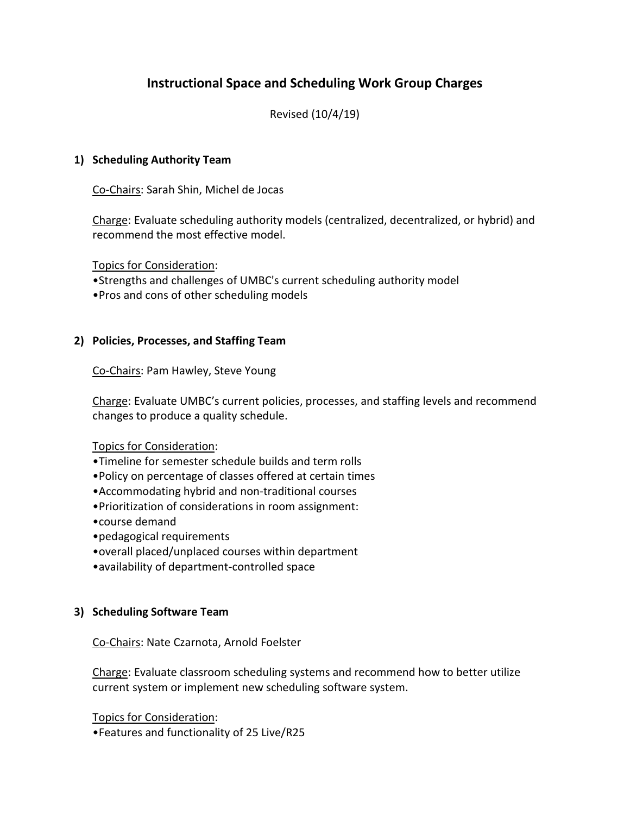# **Instructional Space and Scheduling Work Group Charges**

Revised (10/4/19)

### **1) Scheduling Authority Team**

Co-Chairs: Sarah Shin, Michel de Jocas

Charge: Evaluate scheduling authority models (centralized, decentralized, or hybrid) and recommend the most effective model.

Topics for Consideration:

- •Strengths and challenges of UMBC's current scheduling authority model
- •Pros and cons of other scheduling models

### **2) Policies, Processes, and Staffing Team**

Co-Chairs: Pam Hawley, Steve Young

Charge: Evaluate UMBC's current policies, processes, and staffing levels and recommend changes to produce a quality schedule.

### Topics for Consideration:

- •Timeline for semester schedule builds and term rolls
- •Policy on percentage of classes offered at certain times
- •Accommodating hybrid and non-traditional courses
- •Prioritization of considerations in room assignment:
- •course demand
- •pedagogical requirements
- •overall placed/unplaced courses within department
- •availability of department-controlled space

# **3) Scheduling Software Team**

### Co-Chairs: Nate Czarnota, Arnold Foelster

Charge: Evaluate classroom scheduling systems and recommend how to better utilize current system or implement new scheduling software system.

Topics for Consideration: •Features and functionality of 25 Live/R25